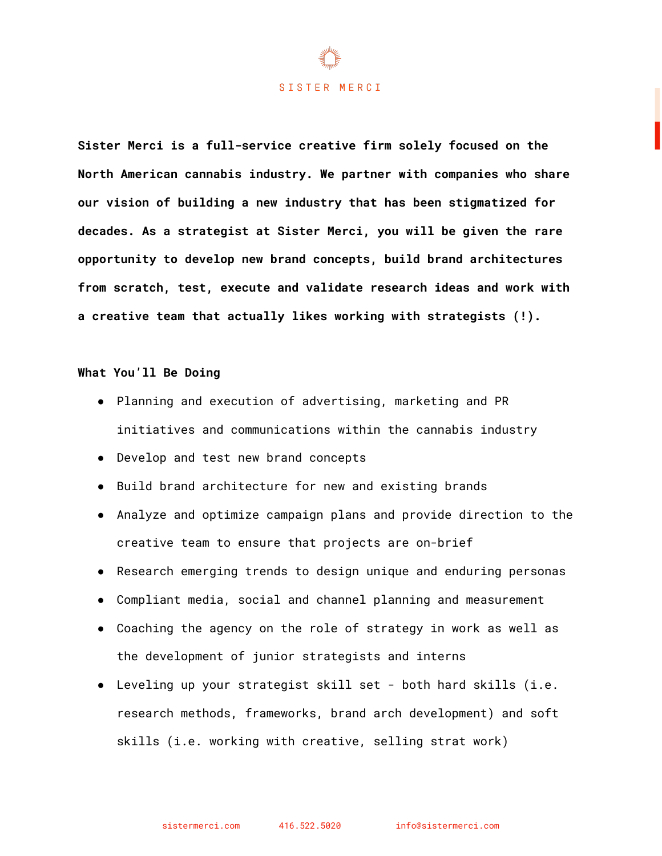#### SISTER MERCI

**Sister Merci is a full-service creative firm solely focused on the North American cannabis industry. We partner with companies who share our vision of building a new industry that has been stigmatized for decades. As a strategist at Sister Merci, you will be given the rare opportunity to develop new brand concepts, build brand architectures from scratch, test, execute and validate research ideas and work with a creative team that actually likes working with strategists (!).**

#### **What You'll Be Doing**

- Planning and execution of advertising, marketing and PR initiatives and communications within the cannabis industry
- Develop and test new brand concepts
- Build brand architecture for new and existing brands
- Analyze and optimize campaign plans and provide direction to the creative team to ensure that projects are on-brief
- Research emerging trends to design unique and enduring personas
- Compliant media, social and channel planning and measurement
- Coaching the agency on the role of strategy in work as well as the development of junior strategists and interns
- Leveling up your strategist skill set both hard skills (i.e. research methods, frameworks, brand arch development) and soft skills (i.e. working with creative, selling strat work)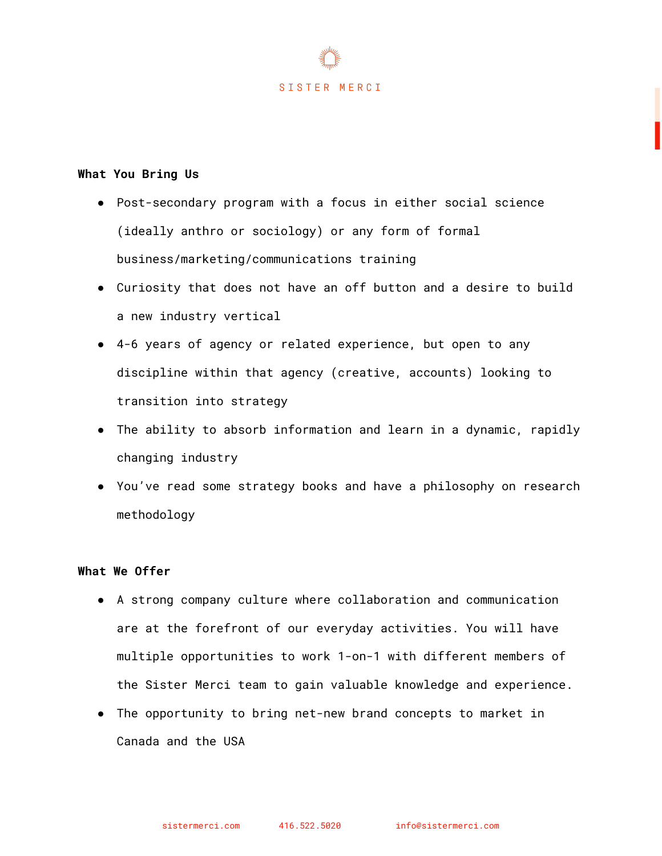

## **What You Bring Us**

- Post-secondary program with a focus in either social science (ideally anthro or sociology) or any form of formal business/marketing/communications training
- Curiosity that does not have an off button and a desire to build a new industry vertical
- 4-6 years of agency or related experience, but open to any discipline within that agency (creative, accounts) looking to transition into strategy
- The ability to absorb information and learn in a dynamic, rapidly changing industry
- You've read some strategy books and have a philosophy on research methodology

### **What We Offer**

- A strong company culture where collaboration and communication are at the forefront of our everyday activities. You will have multiple opportunities to work 1-on-1 with different members of the Sister Merci team to gain valuable knowledge and experience.
- The opportunity to bring net-new brand concepts to market in Canada and the USA